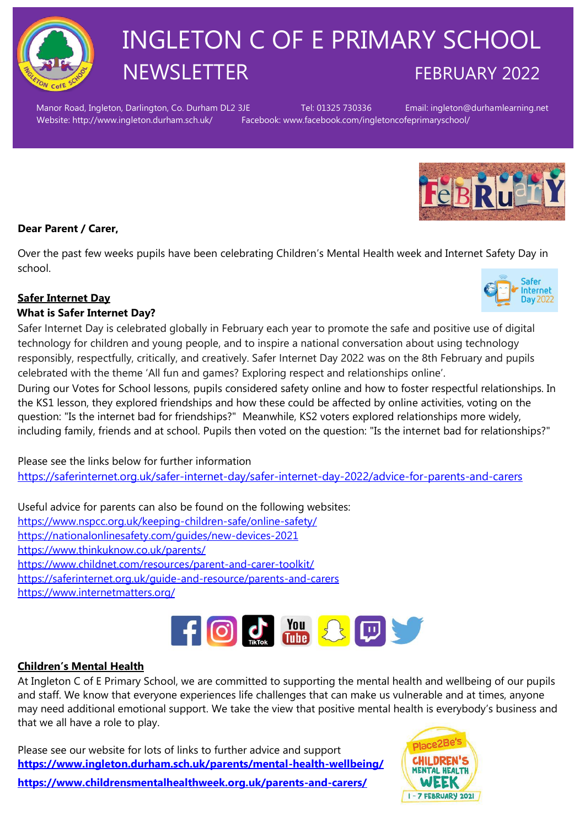

# INGLETON C OF E PRIMARY SCHOOL NEWSLETTER FEBRUARY 2022

Manor Road, Ingleton, Darlington, Co. Durham DL2 3JE Tel: 01325 730336 Email: ingleton@durhamlearning.net Website: http://www.ingleton.durham.sch.uk/ Facebook: www.facebook.com/ingletoncofeprimaryschool/



# **Dear Parent / Carer,**

Over the past few weeks pupils have been celebrating Children's Mental Health week and Internet Safety Day in school.

# **Safer Internet Day**

# **What is Safer Internet Day?**

Safer Internet Day is celebrated globally in February each year to promote the safe and positive use of digital technology for children and young people, and to inspire a national conversation about using technology responsibly, respectfully, critically, and creatively. Safer Internet Day 2022 was on the 8th February and pupils celebrated with the theme 'All fun and games? Exploring respect and relationships online'.

During our Votes for School lessons, pupils considered safety online and how to foster respectful relationships. In the KS1 lesson, they explored friendships and how these could be affected by online activities, voting on the question: "Is the internet bad for friendships?" Meanwhile, KS2 voters explored relationships more widely, including family, friends and at school. Pupils then voted on the question: "Is the internet bad for relationships?"

Please see the links below for further information <https://saferinternet.org.uk/safer-internet-day/safer-internet-day-2022/advice-for-parents-and-carers>

Useful advice for parents can also be found on the following websites: <https://www.nspcc.org.uk/keeping-children-safe/online-safety/> <https://nationalonlinesafety.com/guides/new-devices-2021> <https://www.thinkuknow.co.uk/parents/> <https://www.childnet.com/resources/parent-and-carer-toolkit/> <https://saferinternet.org.uk/guide-and-resource/parents-and-carers> <https://www.internetmatters.org/>



# **Children's Mental Health**

At Ingleton C of E Primary School, we are committed to supporting the mental health and wellbeing of our pupils and staff. We know that everyone experiences life challenges that can make us vulnerable and at times, anyone may need additional emotional support. We take the view that positive mental health is everybody's business and that we all have a role to play.

Please see our website for lots of links to further advice and support **<https://www.ingleton.durham.sch.uk/parents/mental-health-wellbeing/>**



**<https://www.childrensmentalhealthweek.org.uk/parents-and-carers/>**

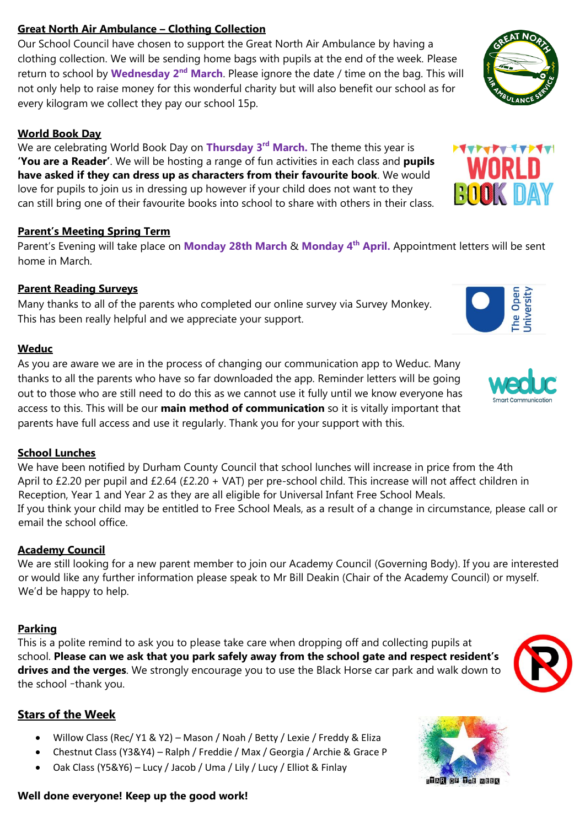# **Great North Air Ambulance – Clothing Collection**

Our School Council have chosen to support the Great North Air Ambulance by having a clothing collection. We will be sending home bags with pupils at the end of the week. Please return to school by **Wednesday 2nd March**. Please ignore the date / time on the bag. This will not only help to raise money for this wonderful charity but will also benefit our school as for every kilogram we collect they pay our school 15p.

### **World Book Day**

We are celebrating World Book Day on **Thursday 3rd March.** The theme this year is **'You are a Reader'**. We will be hosting a range of fun activities in each class and **pupils have asked if they can dress up as characters from their favourite book**. We would love for pupils to join us in dressing up however if your child does not want to they can still bring one of their favourite books into school to share with others in their class.

#### **Parent's Meeting Spring Term**

Parent's Evening will take place on **Monday 28th March** & **Monday 4th April.** Appointment letters will be sent home in March.

# **Parent Reading Surveys**

Many thanks to all of the parents who completed our online survey via Survey Monkey. This has been really helpful and we appreciate your support.

#### **Weduc**

As you are aware we are in the process of changing our communication app to Weduc. Many thanks to all the parents who have so far downloaded the app. Reminder letters will be going out to those who are still need to do this as we cannot use it fully until we know everyone has access to this. This will be our **main method of communication** so it is vitally important that parents have full access and use it regularly. Thank you for your support with this.

#### **School Lunches**

We have been notified by Durham County Council that school lunches will increase in price from the 4th April to £2.20 per pupil and £2.64 (£2.20 + VAT) per pre-school child. This increase will not affect children in Reception, Year 1 and Year 2 as they are all eligible for Universal Infant Free School Meals. If you think your child may be entitled to Free School Meals, as a result of a change in circumstance, please call or email the school office.

# **Academy Council**

We are still looking for a new parent member to join our Academy Council (Governing Body). If you are interested or would like any further information please speak to Mr Bill Deakin (Chair of the Academy Council) or myself. We'd be happy to help.

#### **Parking**

This is a polite remind to ask you to please take care when dropping off and collecting pupils at school. **Please can we ask that you park safely away from the school gate and respect resident's drives and the verges**. We strongly encourage you to use the Black Horse car park and walk down to the school –thank you.

# **Stars of the Week**

- Willow Class (Rec/ Y1 & Y2) Mason / Noah / Betty / Lexie / Freddy & Eliza
- Chestnut Class (Y3&Y4) Ralph / Freddie / Max / Georgia / Archie & Grace P
- Oak Class (Y5&Y6) Lucy / Jacob / Uma / Lily / Lucy / Elliot & Finlay

#### **Well done everyone! Keep up the good work!**













**WORLD**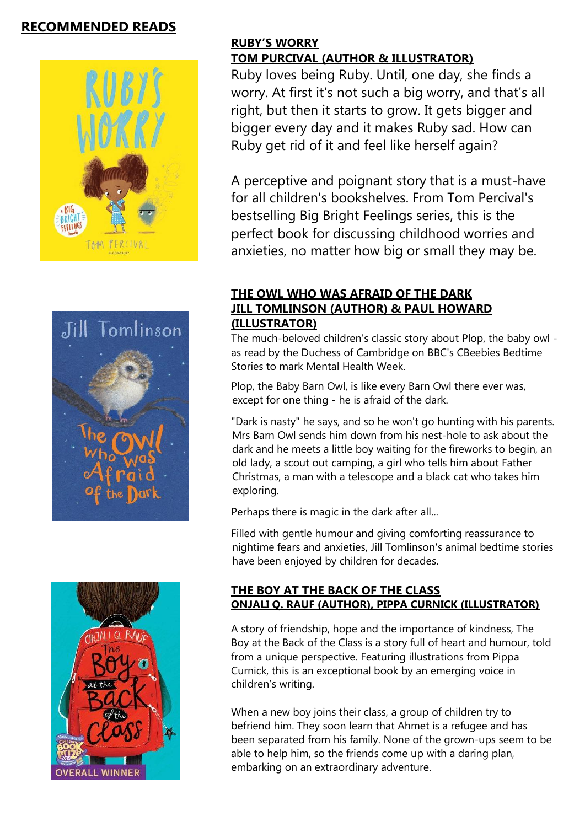# **RECOMMENDED READS**







# **RUBY'S WORRY**

# **TOM PURCIVAL (AUTHOR & ILLUSTRATOR)**

Ruby loves being Ruby. Until, one day, she finds a worry. At first it's not such a big worry, and that's all right, but then it starts to grow. It gets bigger and bigger every day and it makes Ruby sad. How can Ruby get rid of it and feel like herself again?

A perceptive and poignant story that is a must-have for all children's bookshelves. From Tom Percival's bestselling Big Bright Feelings series, this is the perfect book for discussing childhood worries and anxieties, no matter how big or small they may be.

# **THE OWL WHO WAS AFRAID OF THE DARK JILL TOMLINSON (AUTHOR) & PAUL HOWARD (ILLUSTRATOR)**

The much-beloved children's classic story about Plop, the baby owl as read by the Duchess of Cambridge on BBC's CBeebies Bedtime Stories to mark Mental Health Week.

Plop, the Baby Barn Owl, is like every Barn Owl there ever was, except for one thing - he is afraid of the dark.

"Dark is nasty" he says, and so he won't go hunting with his parents. Mrs Barn Owl sends him down from his nest-hole to ask about the dark and he meets a little boy waiting for the fireworks to begin, an old lady, a scout out camping, a girl who tells him about Father Christmas, a man with a telescope and a black cat who takes him exploring.

Perhaps there is magic in the dark after all...

Filled with gentle humour and giving comforting reassurance to nightime fears and anxieties, Jill Tomlinson's animal bedtime stories have been enjoyed by children for decades.

#### **THE BOY AT THE BACK OF THE CLASS ONJALI Q. RAUF (AUTHOR), PIPPA CURNICK (ILLUSTRATOR)**

A story of friendship, hope and the importance of kindness, The Boy at the Back of the Class is a story full of heart and humour, told from a unique perspective. Featuring illustrations from Pippa Curnick, this is an exceptional book by an emerging voice in children's writing.

When a new boy joins their class, a group of children try to befriend him. They soon learn that Ahmet is a refugee and has been separated from his family. None of the grown-ups seem to be able to help him, so the friends come up with a daring plan, embarking on an extraordinary adventure.